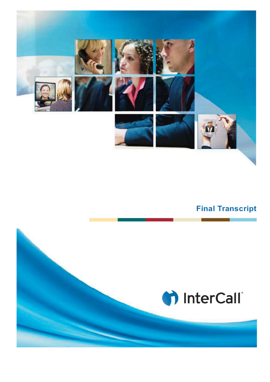

## **Final Transcript**

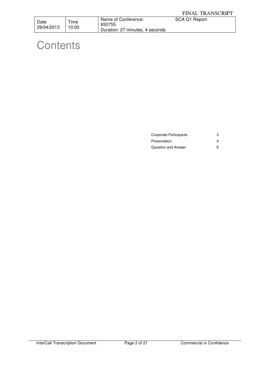| Date       | Time  | Name of Conference:             | SCA Q1 Report |
|------------|-------|---------------------------------|---------------|
| 29/04/2013 | 10:00 | 930755                          |               |
|            |       | Duration: 27 minutes, 4 seconds |               |

## **Contents**

| Corporate Participants |  |
|------------------------|--|
| Presentation           |  |
| Question and Answer    |  |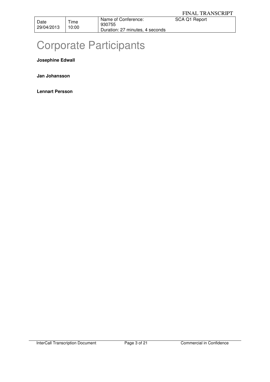930755 Duration: 27 minutes, 4 seconds

# Corporate Participants

**Josephine Edwall** 

**Jan Johansson** 

**Lennart Persson**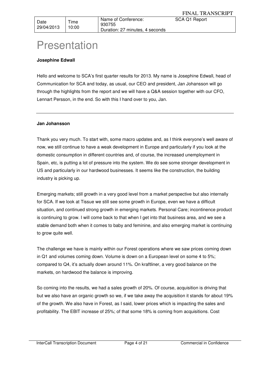Time 10:00

## Presentation

## **Josephine Edwall**

Hello and welcome to SCA's first quarter results for 2013. My name is Josephine Edwall, head of Communication for SCA and today, as usual, our CEO and president, Jan Johansson will go through the highlights from the report and we will have a Q&A session together with our CFO, Lennart Persson, in the end. So with this I hand over to you, Jan.

## **Jan Johansson**

Thank you very much. To start with, some macro updates and, as I think everyone's well aware of now, we still continue to have a weak development in Europe and particularly if you look at the domestic consumption in different countries and, of course, the increased unemployment in Spain, etc, is putting a lot of pressure into the system. We do see some stronger development in US and particularly in our hardwood businesses. It seems like the construction, the building industry is picking up.

Emerging markets; still growth in a very good level from a market perspective but also internally for SCA. If we look at Tissue we still see some growth in Europe, even we have a difficult situation, and continued strong growth in emerging markets. Personal Care; incontinence product is continuing to grow. I will come back to that when I get into that business area, and we see a stable demand both when it comes to baby and feminine, and also emerging market is continuing to grow quite well.

The challenge we have is mainly within our Forest operations where we saw prices coming down in Q1 and volumes coming down. Volume is down on a European level on some 4 to 5%; compared to Q4, it's actually down around 11%. On kraftliner, a very good balance on the markets, on hardwood the balance is improving.

So coming into the results, we had a sales growth of 20%. Of course, acquisition is driving that but we also have an organic growth so we, if we take away the acquisition it stands for about 19% of the growth. We also have in Forest, as I said, lower prices which is impacting the sales and profitability. The EBIT increase of 25%; of that some 18% is coming from acquisitions. Cost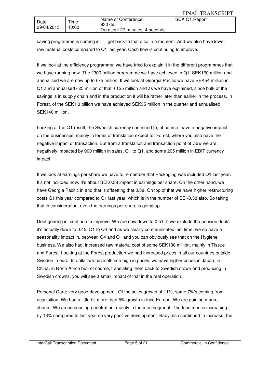| Date<br>29/04/2013 | Time<br>10:00 | Name of Conference:<br>930755<br>Duration: 27 minutes, 4 seconds | SCA Q1 Report |
|--------------------|---------------|------------------------------------------------------------------|---------------|

saving programme is coming in. I'll get back to that also in a moment. And we also have lower raw material costs compared to Q1 last year. Cash flow is continuing to improve.

If we look at the efficiency programme, we have tried to explain it in the different programmes that we have running now. The €300 million programme we have achieved in Q1, SEK160 million and annualised we are now up to €75 million. If we look at Georgia Pacific we have SEK54 million in Q1 and annualised  $\epsilon$ 25 million of that  $\epsilon$ 125 million and as we have explained, since bulk of the savings is in supply chain and in the production it will be rather later than earlier in the process. In Forest, of the SEK1.3 billion we have achieved SEK35 million in the quarter and annualised SEK140 million.

Looking at the Q1 result, the Swedish currency continued to, of course, have a negative impact on the businesses, mainly in terms of translation except for Forest, where you also have the negative impact of transaction. But from a translation and transaction point of view we are negatively impacted by 900 million in sales, Q1 to Q1, and some 205 million in EBIT currency impact.

If we look at earnings per share we have to remember that Packaging was included Q1 last year. It's not included now. It's about SEK0.38 impact in earnings per share. On the other hand, we have Georgia Pacific in and that is offsetting that 0.38. On top of that we have higher restructuring costs Q1 this year compared to Q1 last year, which is in the number of SEK0.38 also. So taking that in consideration, even the earnings per share is going up.

Debt gearing is, continue to improve. We are now down to 0.51. If we exclude the pension debts it's actually down to 0.45. Q1 to Q4 and as we clearly communicated last time, we do have a seasonality impact in, between Q4 and Q1 and you can obviously see that on the Hygiene business. We also had, increased raw material cost of some SEK138 million, mainly in Tissue and Forest. Looking at the Forest production we had increased prices in all our countries outside Sweden in euro. In dollar we have all-time high in prices, we have higher prices in Japan, in China, in North Africa but, of course, translating them back to Swedish crown and producing in Swedish crowns, you will see a small impact of that in the real operation.

Personal Care; very good development. Of the sales growth of 11%, some 7%'s coming from acquisition. We had a little bit more than 5% growth in Inco Europe. We are gaining market shares. We are increasing penetration, mainly in the men segment. The Inco men is increasing by 13% compared to last year so very positive development. Baby also continued to increase, the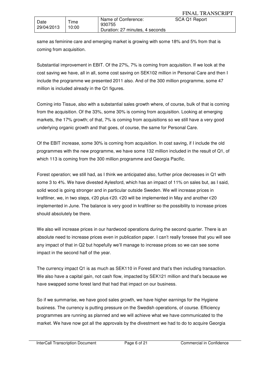| Date<br>29/04/2013 | --<br>l ime<br>10:00 | Name of Conference:<br>930755<br>Duration: 27 minutes, 4 seconds | SCA Q1 Report |
|--------------------|----------------------|------------------------------------------------------------------|---------------|

same as feminine care and emerging market is growing with some 18% and 5% from that is coming from acquisition.

Substantial improvement in EBIT. Of the 27%, 7% is coming from acquisition. If we look at the cost saving we have, all in all, some cost saving on SEK102 million in Personal Care and then I include the programme we presented 2011 also. And of the 300 million programme, some 47 million is included already in the Q1 figures.

Coming into Tissue, also with a substantial sales growth where, of course, bulk of that is coming from the acquisition. Of the 33%, some 30% is coming from acquisition. Looking at emerging markets, the 17% growth; of that, 7% is coming from acquisitions so we still have a very good underlying organic growth and that goes, of course, the same for Personal Care.

Of the EBIT increase, some 30% is coming from acquisition. In cost saving, if I include the old programmes with the new programme, we have some 132 million included in the result of Q1, of which 113 is coming from the 300 million programme and Georgia Pacific.

Forest operation; we still had, as I think we anticipated also, further price decreases in Q1 with some 3 to 4%. We have divested Aylesford, which has an impact of 11% on sales but, as I said, solid wood is going stronger and in particular outside Sweden. We will increase prices in kraftliner, we, in two steps, €20 plus €20. €20 will be implemented in May and another €20 implemented in June. The balance is very good in kraftliner so the possibility to increase prices should absolutely be there.

We also will increase prices in our hardwood operations during the second quarter. There is an absolute need to increase prices even in publication paper. I can't really foresee that you will see any impact of that in Q2 but hopefully we'll manage to increase prices so we can see some impact in the second half of the year.

The currency impact Q1 is as much as SEK110 in Forest and that's then including transaction. We also have a capital gain, not cash flow, impacted by SEK121 million and that's because we have swapped some forest land that had that impact on our business.

So if we summarise, we have good sales growth, we have higher earnings for the Hygiene business. The currency is putting pressure on the Swedish operations, of course. Efficiency programmes are running as planned and we will achieve what we have communicated to the market. We have now got all the approvals by the divestment we had to do to acquire Georgia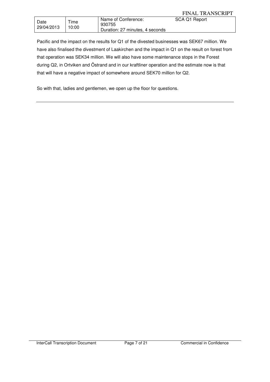|                    |               |                                                                  | <b>FINAL TRANSCRIPT</b> |
|--------------------|---------------|------------------------------------------------------------------|-------------------------|
| Date<br>29/04/2013 | Time<br>10:00 | Name of Conference:<br>930755<br>Duration: 27 minutes, 4 seconds | SCA Q1 Report           |

Pacific and the impact on the results for Q1 of the divested businesses was SEK67 million. We have also finalised the divestment of Laakirchen and the impact in Q1 on the result on forest from that operation was SEK34 million. We will also have some maintenance stops in the Forest during Q2, in Ortviken and Östrand and in our kraftliner operation and the estimate now is that that will have a negative impact of somewhere around SEK70 million for Q2.

So with that, ladies and gentlemen, we open up the floor for questions.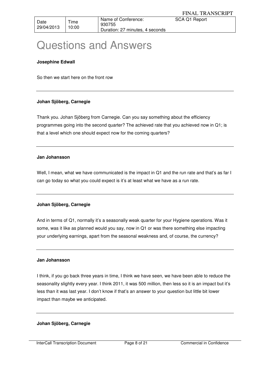## Questions and Answers

## **Josephine Edwall**

So then we start here on the front row

## **Johan Sjöberg, Carnegie**

Thank you. Johan Sjöberg from Carnegie. Can you say something about the efficiency programmes going into the second quarter? The achieved rate that you achieved now in Q1; is that a level which one should expect now for the coming quarters?

## **Jan Johansson**

Well, I mean, what we have communicated is the impact in Q1 and the run rate and that's as far I can go today so what you could expect is it's at least what we have as a run rate.

## **Johan Sjöberg, Carnegie**

And in terms of Q1, normally it's a seasonally weak quarter for your Hygiene operations. Was it some, was it like as planned would you say, now in Q1 or was there something else impacting your underlying earnings, apart from the seasonal weakness and, of course, the currency?

## **Jan Johansson**

I think, if you go back three years in time, I think we have seen, we have been able to reduce the seasonality slightly every year. I think 2011, it was 500 million, then less so it is an impact but it's less than it was last year. I don't know if that's an answer to your question but little bit lower impact than maybe we anticipated.

## **Johan Sjöberg, Carnegie**

InterCall Transcription Document Page 8 of 21 Commercial in Confidence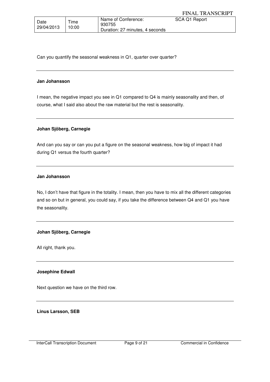| Date       | $T$ ime | Name of Conference:<br>930755   | SCA Q1 Report |
|------------|---------|---------------------------------|---------------|
| 29/04/2013 | 10:00   | Duration: 27 minutes, 4 seconds |               |

Can you quantify the seasonal weakness in Q1, quarter over quarter?

#### **Jan Johansson**

I mean, the negative impact you see in Q1 compared to Q4 is mainly seasonality and then, of course, what I said also about the raw material but the rest is seasonality.

## **Johan Sjöberg, Carnegie**

And can you say or can you put a figure on the seasonal weakness, how big of impact it had during Q1 versus the fourth quarter?

## **Jan Johansson**

No, I don't have that figure in the totality. I mean, then you have to mix all the different categories and so on but in general, you could say, if you take the difference between Q4 and Q1 you have the seasonality.

## **Johan Sjöberg, Carnegie**

All right, thank you.

## **Josephine Edwall**

Next question we have on the third row.

**Linus Larsson, SEB**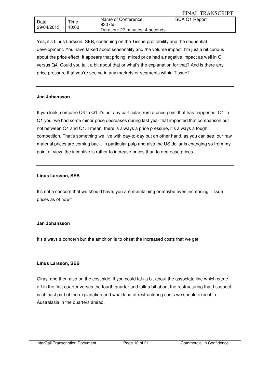|                    |               |                                                                  | <b>FINAL TRANSCRIPT</b> |
|--------------------|---------------|------------------------------------------------------------------|-------------------------|
| Date<br>29/04/2013 | Time<br>10:00 | Name of Conference:<br>930755<br>Duration: 27 minutes, 4 seconds | SCA Q1 Report           |

Yes, it's Linus Larsson, SEB, continuing on the Tissue profitability and the sequential development. You have talked about seasonality and the volume impact. I'm just a bit curious about the price effect. It appears that pricing, mixed price had a negative impact as well in Q1 versus Q4. Could you talk a bit about that or what's the explanation for that? And is there any price pressure that you're seeing in any markets or segments within Tissue?

## **Jan Johansson**

If you look, compare Q4 to Q1 it's not any particular from a price point that has happened. Q1 to Q1 you, we had some minor price decreases during last year that impacted that comparison but not between Q4 and Q1. I mean, there is always a price pressure, it's always a tough competition. That's something we live with day-to-day but on other hand, as you can see, our raw material prices are coming back, in particular pulp and also the US dollar is changing so from my point of view, the incentive is rather to increase prices than to decrease prices.

## **Linus Larsson, SEB**

It's not a concern that we should have, you are maintaining or maybe even increasing Tissue prices as of now?

## **Jan Johansson**

It's always a concern but the ambition is to offset the increased costs that we get.

## **Linus Larsson, SEB**

Okay, and then also on the cost side, if you could talk a bit about the associate line which came off in the first quarter versus the fourth quarter and talk a bit about the restructuring that I suspect is at least part of the explanation and what kind of restructuring costs we should expect in Australasia in the quarters ahead.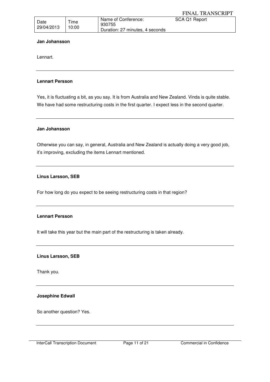| Date       | Time  | Name of Conference:             | SCA Q1 Report |
|------------|-------|---------------------------------|---------------|
| 29/04/2013 | 10:00 | 930755                          |               |
|            |       | Duration: 27 minutes, 4 seconds |               |

#### **Jan Johansson**

Lennart.

## **Lennart Persson**

Yes, it is fluctuating a bit, as you say. It is from Australia and New Zealand. Vinda is quite stable. We have had some restructuring costs in the first quarter. I expect less in the second quarter.

## **Jan Johansson**

Otherwise you can say, in general, Australia and New Zealand is actually doing a very good job, it's improving, excluding the items Lennart mentioned.

## **Linus Larsson, SEB**

For how long do you expect to be seeing restructuring costs in that region?

## **Lennart Persson**

It will take this year but the main part of the restructuring is taken already.

## **Linus Larsson, SEB**

Thank you.

## **Josephine Edwall**

So another question? Yes.

InterCall Transcription Document Page 11 of 21 Commercial in Confidence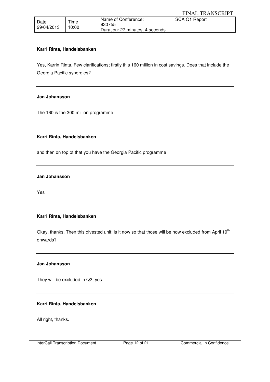| Date<br>29/04/2013 | Time<br>10:00 | Name of Conference:<br>930755   | SCA Q1 Report |
|--------------------|---------------|---------------------------------|---------------|
|                    |               | Duration: 27 minutes, 4 seconds |               |

## **Karri Rinta, Handelsbanken**

Yes, Karrin Rinta, Few clarifications; firstly this 160 million in cost savings. Does that include the Georgia Pacific synergies?

## **Jan Johansson**

The 160 is the 300 million programme

## **Karri Rinta, Handelsbanken**

and then on top of that you have the Georgia Pacific programme

#### **Jan Johansson**

Yes

## **Karri Rinta, Handelsbanken**

Okay, thanks. Then this divested unit; is it now so that those will be now excluded from April 19<sup>th</sup> onwards?

#### **Jan Johansson**

They will be excluded in Q2, yes.

## **Karri Rinta, Handelsbanken**

All right, thanks.

InterCall Transcription Document Page 12 of 21 Commercial in Confidence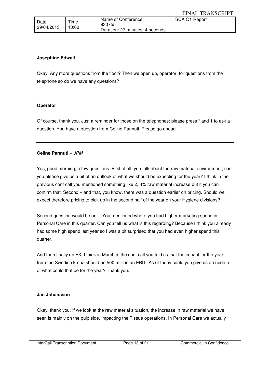| Date       | Time  | Name of Conference:<br>930755   | SCA Q1 Report |
|------------|-------|---------------------------------|---------------|
| 29/04/2013 | 10:00 | Duration: 27 minutes, 4 seconds |               |

#### **Josephine Edwall**

Okay. Any more questions from the floor? Then we open up, operator, for questions from the telephone so do we have any questions?

#### **Operator**

Of course, thank you. Just a reminder for those on the telephones; please press \* and 1 to ask a question. You have a question from Celine Pannuti. Please go ahead.

## **Celine Pannuti** – JPM

Yes, good morning, a few questions. First of all, you talk about the raw material environment; can you please give us a bit of an outlook of what we should be expecting for the year? I think in the previous conf call you mentioned something like 2, 3% raw material increase but if you can confirm that. Second – and that, you know, there was a question earlier on pricing. Should we expect therefore pricing to pick up in the second half of the year on your Hygiene divisions?

Second question would be on… You mentioned where you had higher marketing spend in Personal Care in this quarter. Can you tell us what is this regarding? Because I think you already had some high spend last year so I was a bit surprised that you had even higher spend this quarter.

And then finally on FX, I think in March in the conf call you told us that the impact for the year from the Swedish krona should be 500 million on EBIT. As of today could you give us an update of what could that be for the year? Thank you.

#### **Jan Johansson**

Okay, thank you. If we look at the raw material situation, the increase in raw material we have seen is mainly on the pulp side, impacting the Tissue operations. In Personal Care we actually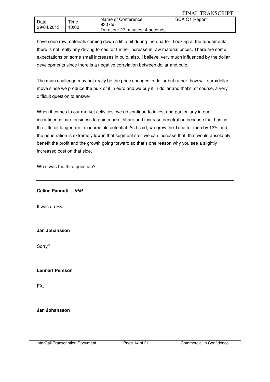| have seen raw materials coming down a little bit during the quarter. Looking at the fundamental,   |
|----------------------------------------------------------------------------------------------------|
| there is not really any driving forces for further increase in raw material prices. There are some |
| expectations on some small increases in pulp, also, I believe, very much influenced by the dollar  |
| developments since there is a negative correlation between dollar and pulp.                        |

Duration: 27 minutes, 4 seconds

The main challenge may not really be the price changes in dollar but rather, how will euro/dollar move since we produce the bulk of it in euro and we buy it in dollar and that's, of course, a very difficult question to answer.

When it comes to our market activities, we do continue to invest and particularly in our incontinence care business to gain market share and increase penetration because that has, in the little bit longer run, an incredible potential. As I said, we grew the Tena for men by 13% and the penetration is extremely low in that segment so if we can increase that, that would absolutely benefit the profit and the growth going forward so that's one reason why you see a slightly increased cost on that side.

What was the third question?

**Celine Pannuti** – JPM

It was on FX.

Date 29/04/2013 Time 10:00

## **Jan Johansson**

Sorry?

## **Lennart Persson**

FX.

**Jan Johansson**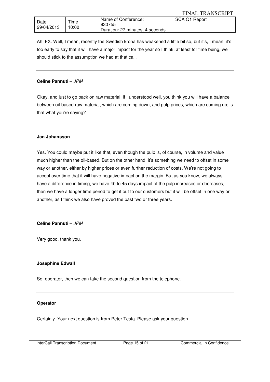Ah, FX. Well, I mean, recently the Swedish krona has weakened a little bit so, but it's, I mean, it's too early to say that it will have a major impact for the year so I think, at least for time being, we should stick to the assumption we had at that call.

## **Celine Pannuti** – JPM

Okay, and just to go back on raw material, if I understood well, you think you will have a balance between oil-based raw material, which are coming down, and pulp prices, which are coming up; is that what you're saying?

## **Jan Johansson**

Yes. You could maybe put it like that, even though the pulp is, of course, in volume and value much higher than the oil-based. But on the other hand, it's something we need to offset in some way or another, either by higher prices or even further reduction of costs. We're not going to accept over time that it will have negative impact on the margin. But as you know, we always have a difference in timing, we have 40 to 45 days impact of the pulp increases or decreases, then we have a longer time period to get it out to our customers but it will be offset in one way or another, as I think we also have proved the past two or three years.

## **Celine Pannuti** – JPM

Very good, thank you.

## **Josephine Edwall**

So, operator, then we can take the second question from the telephone.

## **Operator**

Certainly. Your next question is from Peter Testa. Please ask your question.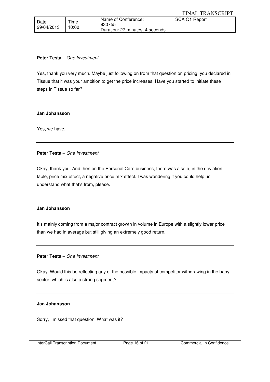| <sup>1</sup> Date | Time  | Name of Conference:<br>930755   | SCA Q1 Report |
|-------------------|-------|---------------------------------|---------------|
| 29/04/2013        | 10:00 | Duration: 27 minutes, 4 seconds |               |

## **Peter Testa** – One Investment

Yes, thank you very much. Maybe just following on from that question on pricing, you declared in Tissue that it was your ambition to get the price increases. Have you started to initiate these steps in Tissue so far?

## **Jan Johansson**

Yes, we have.

## **Peter Testa** – One Investment

Okay, thank you. And then on the Personal Care business, there was also a, in the deviation table, price mix effect, a negative price mix effect. I was wondering if you could help us understand what that's from, please.

## **Jan Johansson**

It's mainly coming from a major contract growth in volume in Europe with a slightly lower price than we had in average but still giving an extremely good return.

## **Peter Testa** – One Investment

Okay. Would this be reflecting any of the possible impacts of competitor withdrawing in the baby sector, which is also a strong segment?

## **Jan Johansson**

Sorry, I missed that question. What was it?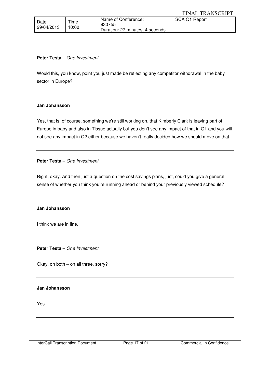| Date<br>29/04/2013 | Time<br>10:00 | Name of Conference:<br>930755   | SCA Q1 Report |
|--------------------|---------------|---------------------------------|---------------|
|                    |               | Duration: 27 minutes, 4 seconds |               |

## **Peter Testa** – One Investment

Would this, you know, point you just made be reflecting any competitor withdrawal in the baby sector in Europe?

#### **Jan Johansson**

Yes, that is, of course, something we're still working on, that Kimberly Clark is leaving part of Europe in baby and also in Tissue actually but you don't see any impact of that in Q1 and you will not see any impact in Q2 either because we haven't really decided how we should move on that.

## **Peter Testa** – One Investment

Right, okay. And then just a question on the cost savings plans, just, could you give a general sense of whether you think you're running ahead or behind your previously viewed schedule?

## **Jan Johansson**

I think we are in line.

**Peter Testa** – One Investment

Okay, on both – on all three, sorry?

## **Jan Johansson**

Yes.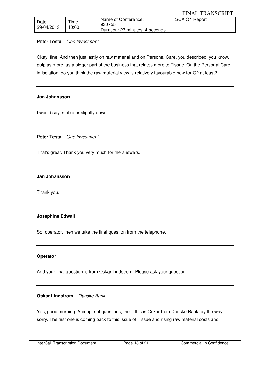| Date       | $T$ ime | Name of Conference:             | SCA Q1 Report |
|------------|---------|---------------------------------|---------------|
|            |         | 930755                          |               |
| 29/04/2013 | 10:00   | Duration: 27 minutes, 4 seconds |               |

## **Peter Testa** – One Investment

Okay, fine. And then just lastly on raw material and on Personal Care, you described, you know, pulp as more, as a bigger part of the business that relates more to Tissue. On the Personal Care in isolation, do you think the raw material view is relatively favourable now for Q2 at least?

## **Jan Johansson**

I would say, stable or slightly down.

**Peter Testa** – One Investment

That's great. Thank you very much for the answers.

## **Jan Johansson**

Thank you.

## **Josephine Edwall**

So, operator, then we take the final question from the telephone.

## **Operator**

And your final question is from Oskar Lindstrom. Please ask your question.

## **Oskar Lindstrom** – Danske Bank

Yes, good morning. A couple of questions; the – this is Oskar from Danske Bank, by the way – sorry. The first one is coming back to this issue of Tissue and rising raw material costs and

InterCall Transcription Document Page 18 of 21 Commercial in Confidence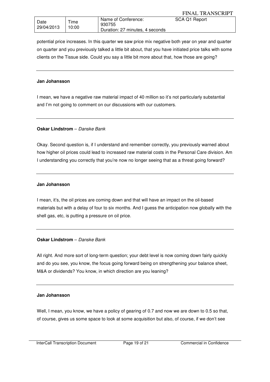|                    |               |                                                                  | <b>FINAL TRANSCRIPT</b> |
|--------------------|---------------|------------------------------------------------------------------|-------------------------|
| Date<br>29/04/2013 | Time<br>10:00 | Name of Conference:<br>930755<br>Duration: 27 minutes, 4 seconds | SCA Q1 Report           |

potential price increases. In this quarter we saw price mix negative both year on year and quarter on quarter and you previously talked a little bit about, that you have initiated price talks with some clients on the Tissue side. Could you say a little bit more about that, how those are going?

## **Jan Johansson**

I mean, we have a negative raw material impact of 40 million so it's not particularly substantial and I'm not going to comment on our discussions with our customers.

## **Oskar Lindstrom** – Danske Bank

Okay. Second question is, if I understand and remember correctly, you previously warned about how higher oil prices could lead to increased raw material costs in the Personal Care division. Am I understanding you correctly that you're now no longer seeing that as a threat going forward?

#### **Jan Johansson**

I mean, it's, the oil prices are coming down and that will have an impact on the oil-based materials but with a delay of four to six months. And I guess the anticipation now globally with the shell gas, etc, is putting a pressure on oil price.

## **Oskar Lindstrom** – Danske Bank

All right. And more sort of long-term question; your debt level is now coming down fairly quickly and do you see, you know, the focus going forward being on strengthening your balance sheet, M&A or dividends? You know, in which direction are you leaning?

#### **Jan Johansson**

Well, I mean, you know, we have a policy of gearing of 0.7 and now we are down to 0.5 so that, of course, gives us some space to look at some acquisition but also, of course, if we don't see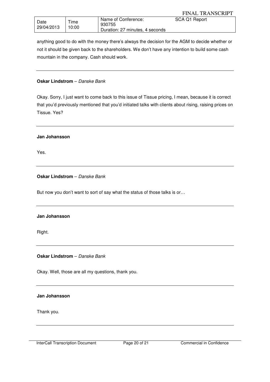|                    |               |                                                                  | <b>FINAL TRANSCRIPT</b> |
|--------------------|---------------|------------------------------------------------------------------|-------------------------|
| Date<br>29/04/2013 | Time<br>10:00 | Name of Conference:<br>930755<br>Duration: 27 minutes, 4 seconds | SCA Q1 Report           |

anything good to do with the money there's always the decision for the AGM to decide whether or not it should be given back to the shareholders. We don't have any intention to build some cash mountain in the company. Cash should work.

## **Oskar Lindstrom** - Danske Bank

Okay. Sorry, I just want to come back to this issue of Tissue pricing, I mean, because it is correct that you'd previously mentioned that you'd initiated talks with clients about rising, raising prices on Tissue. Yes?

## **Jan Johansson**

Yes.

## **Oskar Lindstrom** – Danske Bank

But now you don't want to sort of say what the status of those talks is or…

## **Jan Johansson**

Right.

**Oskar Lindstrom** – Danske Bank

Okay. Well, those are all my questions, thank you.

## **Jan Johansson**

Thank you.

InterCall Transcription Document Page 20 of 21 Commercial in Confidence